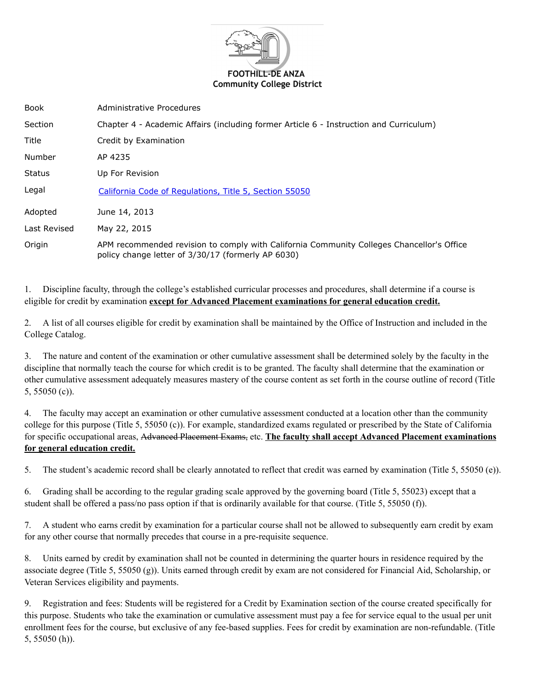

| <b>Book</b>   | Administrative Procedures                                                                                                                       |
|---------------|-------------------------------------------------------------------------------------------------------------------------------------------------|
| Section       | Chapter 4 - Academic Affairs (including former Article 6 - Instruction and Curriculum)                                                          |
| <b>Title</b>  | Credit by Examination                                                                                                                           |
| Number        | AP 4235                                                                                                                                         |
| <b>Status</b> | Up For Revision                                                                                                                                 |
| Legal         | California Code of Regulations, Title 5, Section 55050                                                                                          |
| Adopted       | June 14, 2013                                                                                                                                   |
| Last Revised  | May 22, 2015                                                                                                                                    |
| Origin        | APM recommended revision to comply with California Community Colleges Chancellor's Office<br>policy change letter of 3/30/17 (formerly AP 6030) |

1. Discipline faculty, through the college's established curricular processes and procedures, shall determine if a course is eligible for credit by examination **except for Advanced Placement examinations for general education credit.**

2. A list of all courses eligible for credit by examination shall be maintained by the Office of Instruction and included in the College Catalog.

3. The nature and content of the examination or other cumulative assessment shall be determined solely by the faculty in the discipline that normally teach the course for which credit is to be granted. The faculty shall determine that the examination or other cumulative assessment adequately measures mastery of the course content as set forth in the course outline of record (Title 5, 55050 (c)).

4. The faculty may accept an examination or other cumulative assessment conducted at a location other than the community college for this purpose (Title 5, 55050 (c)). For example, standardized exams regulated or prescribed by the State of California for specific occupational areas, Advanced Placement Exams, etc. **The faculty shall accept Advanced Placement examinations for general education credit.**

5. The student's academic record shall be clearly annotated to reflect that credit was earned by examination (Title 5, 55050 (e)).

6. Grading shall be according to the regular grading scale approved by the governing board (Title 5, 55023) except that a student shall be offered a pass/no pass option if that is ordinarily available for that course. (Title 5, 55050 (f)).

7. A student who earns credit by examination for a particular course shall not be allowed to subsequently earn credit by exam for any other course that normally precedes that course in a pre-requisite sequence.

8. Units earned by credit by examination shall not be counted in determining the quarter hours in residence required by the associate degree (Title 5, 55050 (g)). Units earned through credit by exam are not considered for Financial Aid, Scholarship, or Veteran Services eligibility and payments.

9. Registration and fees: Students will be registered for a Credit by Examination section of the course created specifically for this purpose. Students who take the examination or cumulative assessment must pay a fee for service equal to the usual per unit enrollment fees for the course, but exclusive of any fee-based supplies. Fees for credit by examination are non-refundable. (Title 5, 55050 (h)).